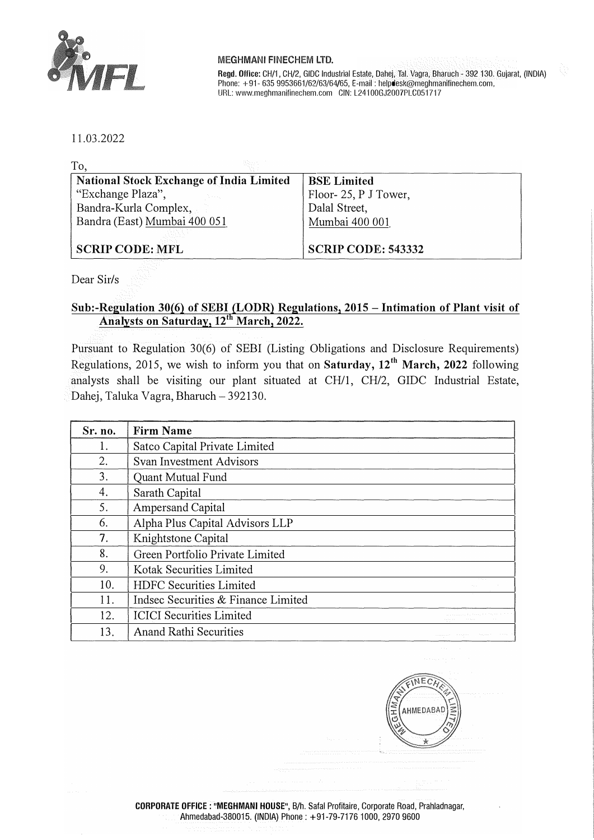

## **MEGHMANI FINECHEM LTD.**

Regd. Office: CH/1, CH/2, GIDC Industrial Estate, Dahej, Tai. Vagra, Bharuch - 392 130. Gujarat, (INDIA) Phone: +91- 635 9953661/62/63/64/65, E-mail: helpdesk@meghmanifinechem.com, URL: www.meghmanifinechem.com GIN: L241 00GJ2007PLC051717

11.03.2022

| To.                                             |                           |
|-------------------------------------------------|---------------------------|
| <b>National Stock Exchange of India Limited</b> | <b>BSE Limited</b>        |
| "Exchange Plaza",                               | Floor-25, P J Tower,      |
| Bandra-Kurla Complex,                           | Dalal Street,             |
| Bandra (East) Mumbai 400 051                    | Mumbai 400 001            |
|                                                 |                           |
| <b>SCRIP CODE: MFL</b>                          | <b>SCRIP CODE: 543332</b> |

Dear Sir/s

## **Sub:-Regulation 30(6) of SEBI (LODR) Regulations, 2015 - Intimation of Plant visit of Analysts on Saturday, 12th March, 2022.**

Pursuant to Regulation 30(6) of SEBI (Listing Obligations and Disclosure Requirements) Regulations, 2015, we wish to inform you that on **Saturday, 12 th March, 2022** following analysts shall be visiting our plant situated at CH/1, CH/2, GIDC Industrial Estate, Dahej, Taluka Vagra, Bharuch - 392130.

| Sr. no. | <b>Firm Name</b>                    |                                                                |
|---------|-------------------------------------|----------------------------------------------------------------|
| Ι.      | Satco Capital Private Limited       |                                                                |
| 2.      | <b>Svan Investment Advisors</b>     |                                                                |
| 3.      | <b>Quant Mutual Fund</b>            |                                                                |
| 4.      | Sarath Capital                      |                                                                |
| 5.      | <b>Ampersand Capital</b>            |                                                                |
| 6.      | Alpha Plus Capital Advisors LLP     |                                                                |
| 7.      | Knightstone Capital                 |                                                                |
| 8.      | Green Portfolio Private Limited     |                                                                |
| 9.      | Kotak Securities Limited            |                                                                |
| 10.     | HDFC Securities Limited             | Although a                                                     |
| 11.     | Indsec Securities & Finance Limited |                                                                |
| 12.     | <b>ICICI</b> Securities Limited     |                                                                |
| 13.     | <b>Anand Rathi Securities</b>       | The Company of the<br>the first property and<br>the control of |